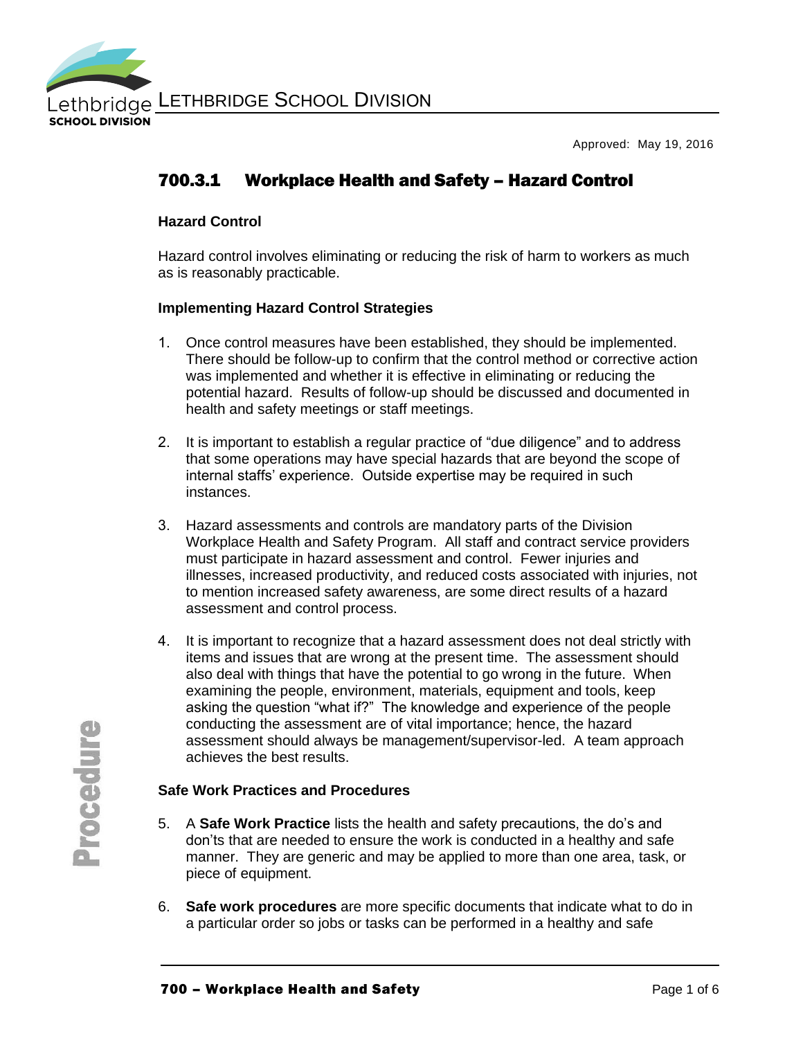

Approved: May 19, 2016

## 700.3.1 Workplace Health and Safety – Hazard Control

#### **Hazard Control**

Hazard control involves eliminating or reducing the risk of harm to workers as much as is reasonably practicable.

#### **Implementing Hazard Control Strategies**

- 1. Once control measures have been established, they should be implemented. There should be follow-up to confirm that the control method or corrective action was implemented and whether it is effective in eliminating or reducing the potential hazard. Results of follow-up should be discussed and documented in health and safety meetings or staff meetings.
- 2. It is important to establish a regular practice of "due diligence" and to address that some operations may have special hazards that are beyond the scope of internal staffs' experience. Outside expertise may be required in such instances.
- 3. Hazard assessments and controls are mandatory parts of the Division Workplace Health and Safety Program. All staff and contract service providers must participate in hazard assessment and control. Fewer injuries and illnesses, increased productivity, and reduced costs associated with injuries, not to mention increased safety awareness, are some direct results of a hazard assessment and control process.
- 4. It is important to recognize that a hazard assessment does not deal strictly with items and issues that are wrong at the present time. The assessment should also deal with things that have the potential to go wrong in the future. When examining the people, environment, materials, equipment and tools, keep asking the question "what if?" The knowledge and experience of the people conducting the assessment are of vital importance; hence, the hazard assessment should always be management/supervisor-led. A team approach achieves the best results.

#### **Safe Work Practices and Procedures**

- 5. A **Safe Work Practice** lists the health and safety precautions, the do's and don'ts that are needed to ensure the work is conducted in a healthy and safe manner. They are generic and may be applied to more than one area, task, or piece of equipment.
- 6. **Safe work procedures** are more specific documents that indicate what to do in a particular order so jobs or tasks can be performed in a healthy and safe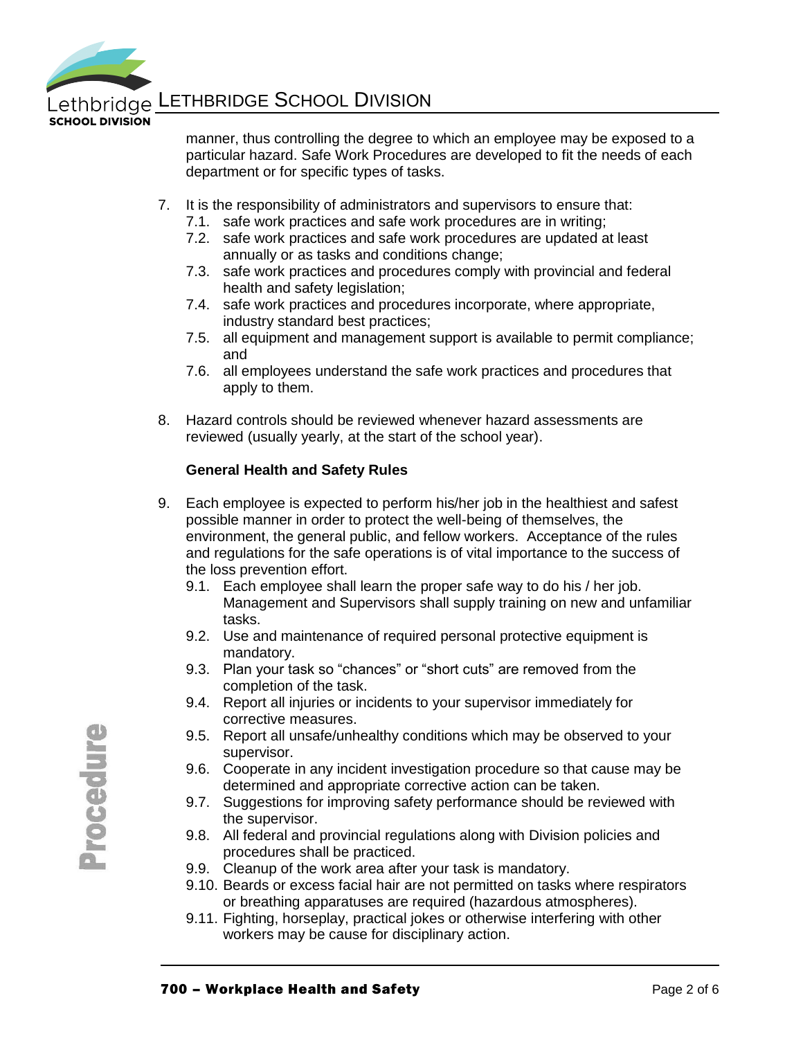

**SCHOOL DIVISION** 

manner, thus controlling the degree to which an employee may be exposed to a particular hazard. Safe Work Procedures are developed to fit the needs of each department or for specific types of tasks.

- 7. It is the responsibility of administrators and supervisors to ensure that:
	- 7.1. safe work practices and safe work procedures are in writing;
	- 7.2. safe work practices and safe work procedures are updated at least annually or as tasks and conditions change;
	- 7.3. safe work practices and procedures comply with provincial and federal health and safety legislation;
	- 7.4. safe work practices and procedures incorporate, where appropriate, industry standard best practices;
	- 7.5. all equipment and management support is available to permit compliance; and
	- 7.6. all employees understand the safe work practices and procedures that apply to them.
- 8. Hazard controls should be reviewed whenever hazard assessments are reviewed (usually yearly, at the start of the school year).

#### **General Health and Safety Rules**

- 9. Each employee is expected to perform his/her job in the healthiest and safest possible manner in order to protect the well-being of themselves, the environment, the general public, and fellow workers. Acceptance of the rules and regulations for the safe operations is of vital importance to the success of the loss prevention effort.
	- 9.1. Each employee shall learn the proper safe way to do his / her job. Management and Supervisors shall supply training on new and unfamiliar tasks.
	- 9.2. Use and maintenance of required personal protective equipment is mandatory.
	- 9.3. Plan your task so "chances" or "short cuts" are removed from the completion of the task.
	- 9.4. Report all injuries or incidents to your supervisor immediately for corrective measures.
	- 9.5. Report all unsafe/unhealthy conditions which may be observed to your supervisor.
	- 9.6. Cooperate in any incident investigation procedure so that cause may be determined and appropriate corrective action can be taken.
	- 9.7. Suggestions for improving safety performance should be reviewed with the supervisor.
	- 9.8. All federal and provincial regulations along with Division policies and procedures shall be practiced.
	- 9.9. Cleanup of the work area after your task is mandatory.
	- 9.10. Beards or excess facial hair are not permitted on tasks where respirators or breathing apparatuses are required (hazardous atmospheres).
	- 9.11. Fighting, horseplay, practical jokes or otherwise interfering with other workers may be cause for disciplinary action.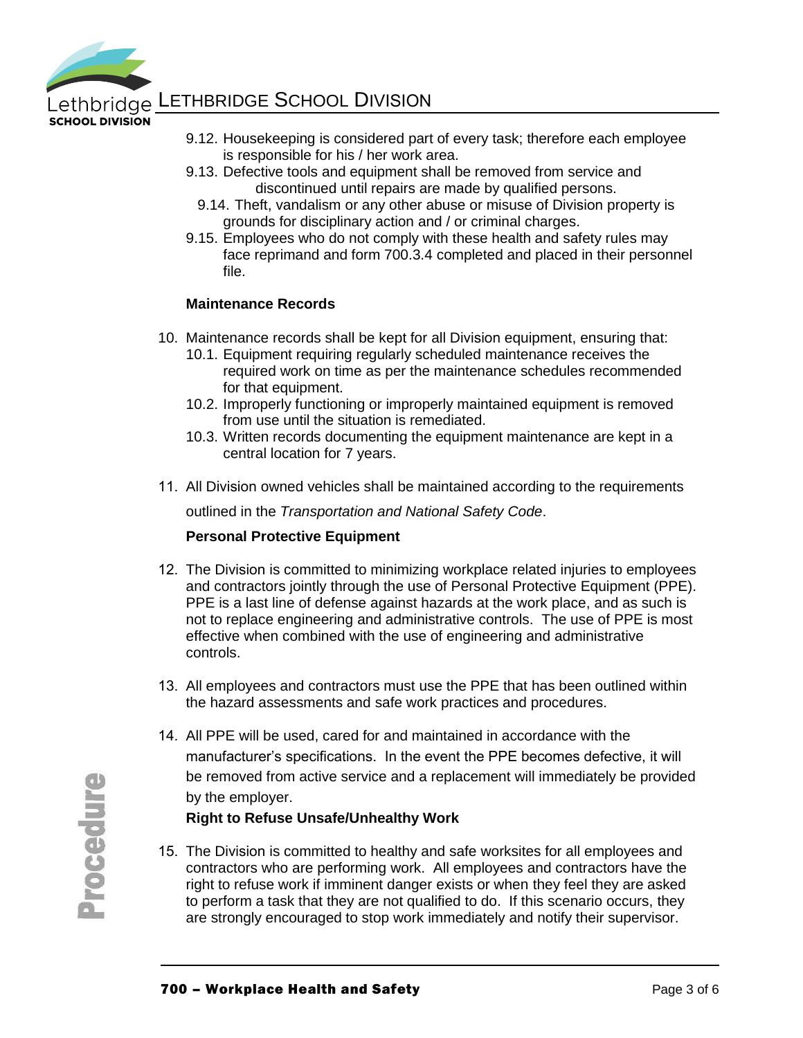

**SCHOOL DIVISION** 

- 9.12. Housekeeping is considered part of every task; therefore each employee is responsible for his / her work area.
- 9.13. Defective tools and equipment shall be removed from service and discontinued until repairs are made by qualified persons.
	- 9.14. Theft, vandalism or any other abuse or misuse of Division property is grounds for disciplinary action and / or criminal charges.
- 9.15. Employees who do not comply with these health and safety rules may face reprimand and form 700.3.4 completed and placed in their personnel file.

#### **Maintenance Records**

- 10. Maintenance records shall be kept for all Division equipment, ensuring that:
	- 10.1. Equipment requiring regularly scheduled maintenance receives the required work on time as per the maintenance schedules recommended for that equipment.
	- 10.2. Improperly functioning or improperly maintained equipment is removed from use until the situation is remediated.
	- 10.3. Written records documenting the equipment maintenance are kept in a central location for 7 years.
- 11. All Division owned vehicles shall be maintained according to the requirements

outlined in the *Transportation and National Safety Code*.

#### **Personal Protective Equipment**

- 12. The Division is committed to minimizing workplace related injuries to employees and contractors jointly through the use of Personal Protective Equipment (PPE). PPE is a last line of defense against hazards at the work place, and as such is not to replace engineering and administrative controls. The use of PPE is most effective when combined with the use of engineering and administrative controls.
- 13. All employees and contractors must use the PPE that has been outlined within the hazard assessments and safe work practices and procedures.
- 14. All PPE will be used, cared for and maintained in accordance with the manufacturer's specifications. In the event the PPE becomes defective, it will be removed from active service and a replacement will immediately be provided by the employer.

#### **Right to Refuse Unsafe/Unhealthy Work**

15. The Division is committed to healthy and safe worksites for all employees and contractors who are performing work. All employees and contractors have the right to refuse work if imminent danger exists or when they feel they are asked to perform a task that they are not qualified to do. If this scenario occurs, they are strongly encouraged to stop work immediately and notify their supervisor.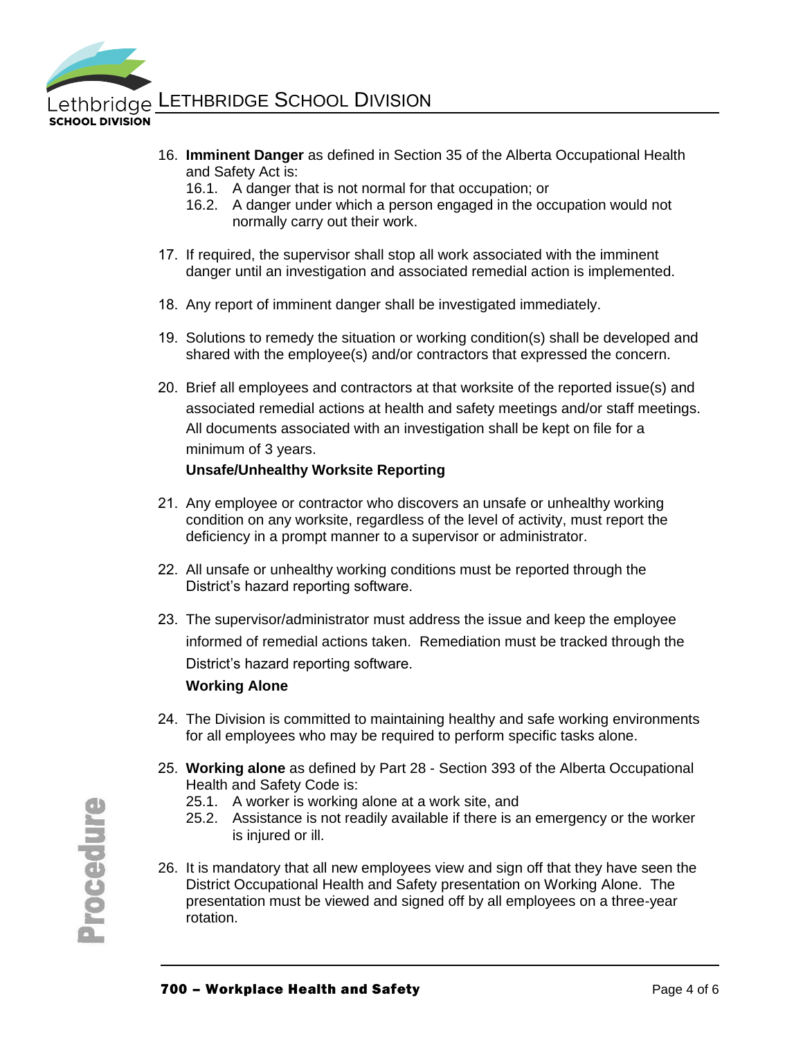

**SCHOOL DIVISION** 

- 16. **Imminent Danger** as defined in Section 35 of the Alberta Occupational Health and Safety Act is:
	- 16.1. A danger that is not normal for that occupation; or
	- 16.2. A danger under which a person engaged in the occupation would not normally carry out their work.
- 17. If required, the supervisor shall stop all work associated with the imminent danger until an investigation and associated remedial action is implemented.
- 18. Any report of imminent danger shall be investigated immediately.
- 19. Solutions to remedy the situation or working condition(s) shall be developed and shared with the employee(s) and/or contractors that expressed the concern.
- 20. Brief all employees and contractors at that worksite of the reported issue(s) and associated remedial actions at health and safety meetings and/or staff meetings. All documents associated with an investigation shall be kept on file for a minimum of 3 years.

## **Unsafe/Unhealthy Worksite Reporting**

- 21. Any employee or contractor who discovers an unsafe or unhealthy working condition on any worksite, regardless of the level of activity, must report the deficiency in a prompt manner to a supervisor or administrator.
- 22. All unsafe or unhealthy working conditions must be reported through the District's hazard reporting software.
- 23. The supervisor/administrator must address the issue and keep the employee informed of remedial actions taken. Remediation must be tracked through the District's hazard reporting software.

## **Working Alone**

- 24. The Division is committed to maintaining healthy and safe working environments for all employees who may be required to perform specific tasks alone.
- 25. **Working alone** as defined by Part 28 Section 393 of the Alberta Occupational Health and Safety Code is:
	- 25.1. A worker is working alone at a work site, and
	- 25.2. Assistance is not readily available if there is an emergency or the worker is injured or ill.
- 26. It is mandatory that all new employees view and sign off that they have seen the District Occupational Health and Safety presentation on Working Alone. The presentation must be viewed and signed off by all employees on a three-year rotation.

**Procedure**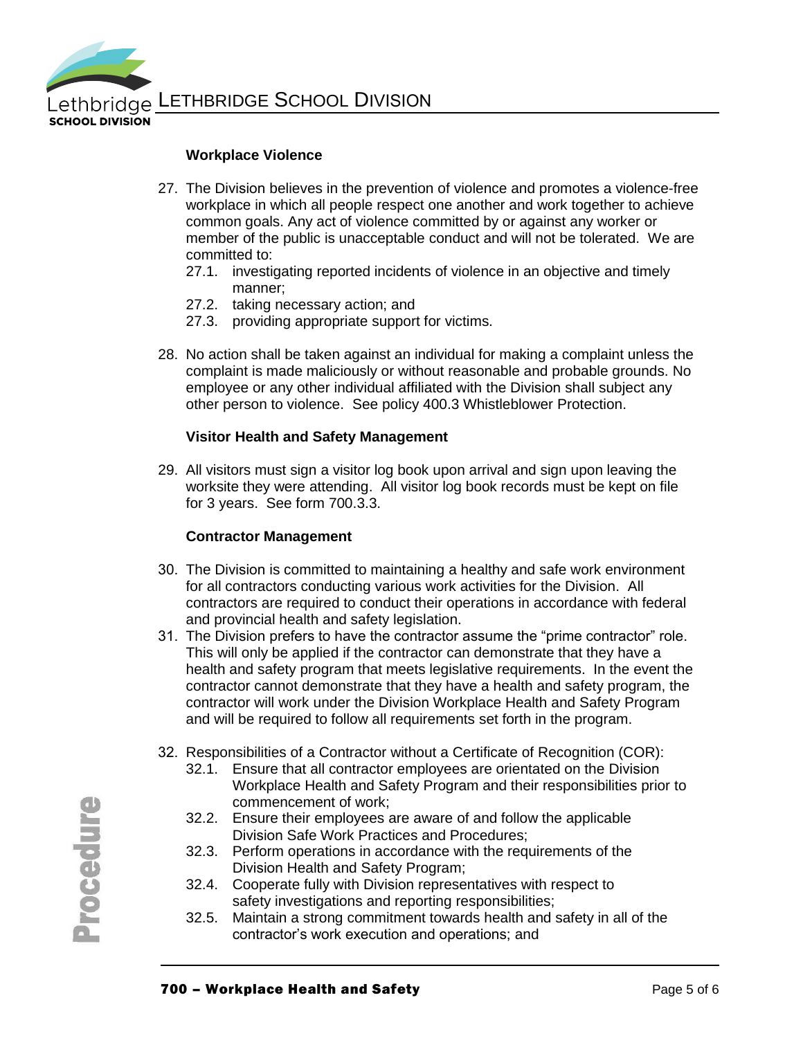

#### **Workplace Violence**

- 27. The Division believes in the prevention of violence and promotes a violence-free workplace in which all people respect one another and work together to achieve common goals. Any act of violence committed by or against any worker or member of the public is unacceptable conduct and will not be tolerated. We are committed to:
	- 27.1. investigating reported incidents of violence in an objective and timely manner;
	- 27.2. taking necessary action; and
	- 27.3. providing appropriate support for victims.
- 28. No action shall be taken against an individual for making a complaint unless the complaint is made maliciously or without reasonable and probable grounds. No employee or any other individual affiliated with the Division shall subject any other person to violence. See policy 400.3 Whistleblower Protection.

#### **Visitor Health and Safety Management**

29. All visitors must sign a visitor log book upon arrival and sign upon leaving the worksite they were attending. All visitor log book records must be kept on file for 3 years. See form 700.3.3.

#### **Contractor Management**

- 30. The Division is committed to maintaining a healthy and safe work environment for all contractors conducting various work activities for the Division. All contractors are required to conduct their operations in accordance with federal and provincial health and safety legislation.
- 31. The Division prefers to have the contractor assume the "prime contractor" role. This will only be applied if the contractor can demonstrate that they have a health and safety program that meets legislative requirements. In the event the contractor cannot demonstrate that they have a health and safety program, the contractor will work under the Division Workplace Health and Safety Program and will be required to follow all requirements set forth in the program.
- 32. Responsibilities of a Contractor without a Certificate of Recognition (COR):
	- 32.1. Ensure that all contractor employees are orientated on the Division Workplace Health and Safety Program and their responsibilities prior to commencement of work;
	- 32.2. Ensure their employees are aware of and follow the applicable Division Safe Work Practices and Procedures;
	- 32.3. Perform operations in accordance with the requirements of the Division Health and Safety Program;
	- 32.4. Cooperate fully with Division representatives with respect to safety investigations and reporting responsibilities;
	- 32.5. Maintain a strong commitment towards health and safety in all of the contractor's work execution and operations; and